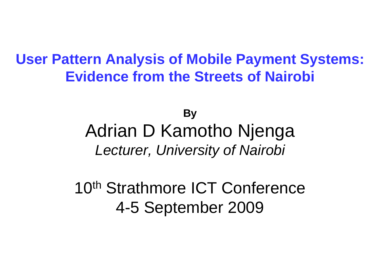#### **User Pattern Analysis of Mobile Payment Systems: Evidence from the Streets of Nairobi**

## **By**Adrian D Kamotho NjengaLecturer, University of Nairobi

10<sup>th</sup> Strathmore ICT Conference 4-5 September 2009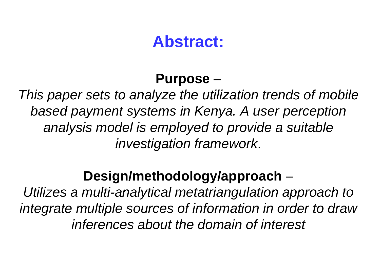## **Abstract:**

#### **Purpose**–

 This paper sets to analyze the utilization trends of mobile based payment systems in Kenya. A user perception analysis model is employed to provide a suitable investigation framework.

### **Design/methodology/approach**

Utilizes a multi-analytical metatriangulation approach to integrate multiple sources of information in order to draw inferences about the domain of interest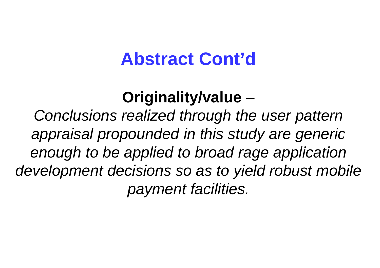# **Abstract Cont'd**

#### **Originality/value**–

 Conclusions realized through the user pattern appraisal propounded in this study are generic enough to be applied to broad rage application development decisions so as to yield robust mobile payment facilities.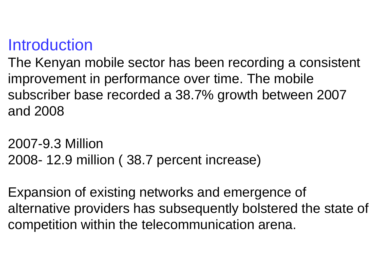## **Introduction**

 The Kenyan mobile sector has been recording a consistent improvement in performance over time. The mobile subscriber base recorded a 38.7% growth between 2007 and 2008

2007-9.3 Million 2008- 12.9 million ( 38.7 percent increase)

Expansion of existing networks and emergence of alternative providers has subsequently bolstered the state of competition within the telecommunication arena.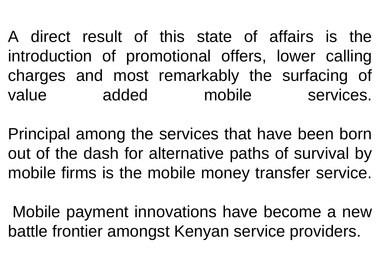A direct result of this state of affairs is the introduction of promotional offers, lower calling charges and most remarkably the surfacing of value added mobile services.

Principal among the services that have been born out of the dash for alternative paths of survival by mobile firms is the mobile money transfer service.

Mobile payment innovations have become a new battle frontier amongst Kenyan service providers.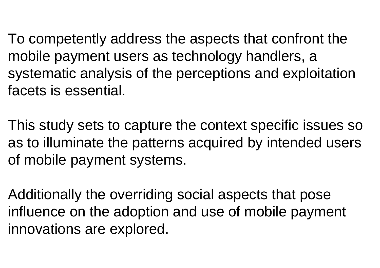To competently address the aspects that confront the mobile payment users as technology handlers, a systematic analysis of the perceptions and exploitation facets is essential.

This study sets to capture the context specific issues so as to illuminate the patterns acquired by intended users of mobile payment systems.

Additionally the overriding social aspects that pose influence on the adoption and use of mobile paymentinnovations are explored.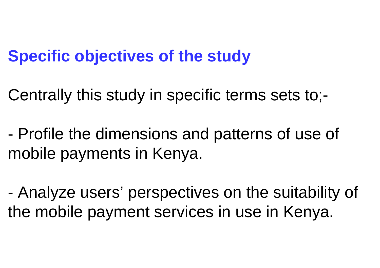## **Specific objectives of the study**

Centrally this study in specific terms sets to;-

- Profile the dimensions and patterns of use of mobile payments in Kenya.

- Analyze users' perspectives on the suitability of the mobile payment services in use in Kenya.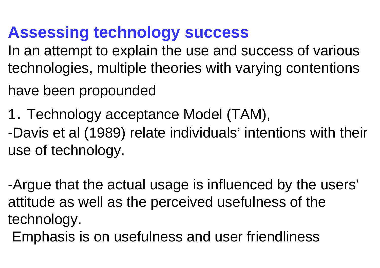# **Assessing technology success**

 In an attempt to explain the use and success of various technologies, multiple theories with varying contentions

- have been propounded
- 1. Technology acceptance Model (TAM),

-Davis et al (1989) relate individuals' intentions with their use of technology. -Davis et al (1989) relate individuals' intentions with thei<br>use of technology.<br>-Argue that the actual usage is influenced by the users'

attitude as well as the perceived usefulness of thetechnology.

Emphasis is on usefulness and user friendliness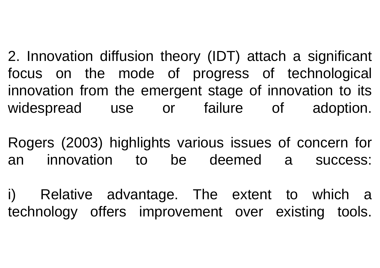2. Innovation diffusion theory (IDT) attach a significant focus on the mode of progress of technological innovation from the emergent stage of innovation to its widespread use or failure of adoption. ordination<br>
Sous on the<br>
idespread<br>
Discreed<br>
Ogers (2003)

Rogers (2003) highlights various issues of concern for an innovation to be deemed a success:

i) Relative advantage. The extent to which a technology offers improvement over existing tools.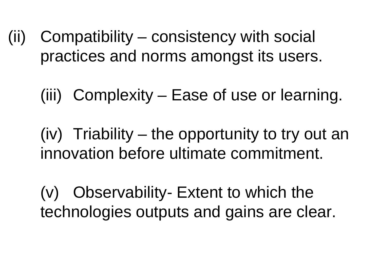- (ii) Compatibility consistency with social practices and norms amongst its users.
	- (iii) Complexity Ease of use or learning.

(iv) Triability –– the opportunity to try out an innovation before ultimate commitment.

(v) Observability- Extent to which the technologies outputs and gains are clear.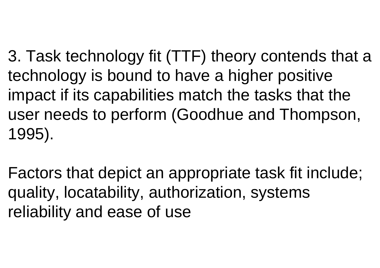3. Task technology fit (TTF) theory contends that a technology is bound to have a higher positive impact if its capabilities match the tasks that the user needs to perform (Goodhue and Thompson, 1995).

Factors that depict an appropriate task fit include; quality, locatability, authorization, systems reliability and ease of use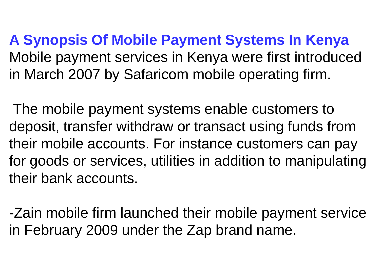**A Synopsis Of Mobile Payment Systems In Kenya** Mobile payment services in Kenya were first introduced in March 2007 by Safaricom mobile operating firm.

The mobile payment systems enable customers to deposit, transfer withdraw or transact using funds from their mobile accounts. For instance customers can pay for goods or services, utilities in addition to manipulating their bank accounts.

-Zain mobile firm launched their mobile payment service in February 2009 under the Zap brand name.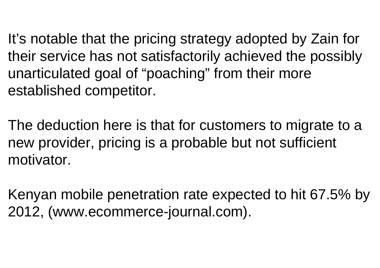It's notable that the pricing strategy adopted by Zain for their service has not satisfactorily achieved the possibly unarticulated goal of "poaching" from their more established competitor.

The deduction here is that for customers to migrate to a new provider, pricing is a probable but not sufficient motivator.

Kenyan mobile penetration rate expected to hit 67.5% by 2012, (www.ecommerce-journal.com).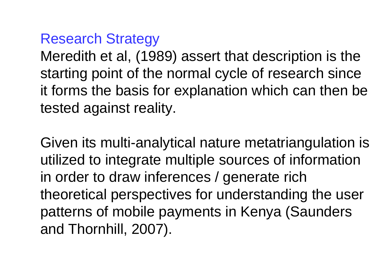#### Research Strategy

 Meredith et al, (1989) assert that description is the starting point of the normal cycle of research since it forms the basis for explanation which can then be tested against reality. (1989) ass<br>f the norm<br>sis for expl<br>reality.<br>analytical

Given its multi-analytical nature metatriangulation is utilized to integrate multiple sources of information in order to draw inferences / generate rich theoretical perspectives for understanding the userpatterns of mobile payments in Kenya (Saunders and Thornhill, 2007).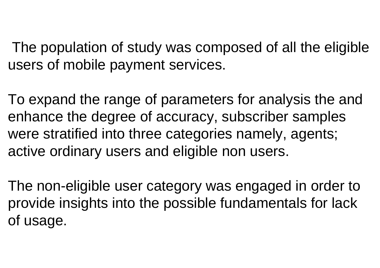The population of study was composed of all the eligible users of mobile payment services.

To expand the range of parameters for analysis the and enhance the degree of accuracy, subscriber samples were stratified into three categories namely, agents; active ordinary users and eligible non users.

The non-eligible user category was engaged in order to provide insights into the possible fundamentals for lack of usage.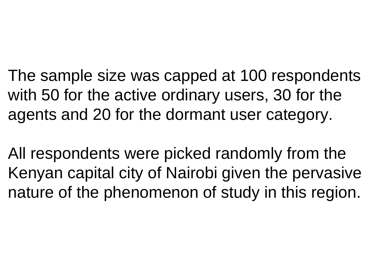The sample size was capped at 100 respondents with 50 for the active ordinary users, 30 for the agents and 20 for the dormant user category.

All respondents were picked randomly from the Kenyan capital city of Nairobi given the pervasive nature of the phenomenon of study in this region.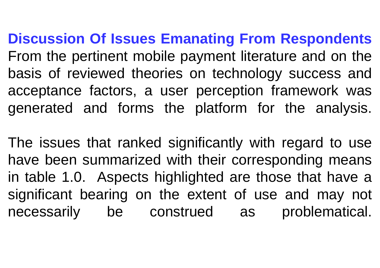**Discussion Of Issues Emanating From Respondents** From the pertinent mobile payment literature and on the basis of reviewed theories on technology success and acceptance factors, a user perception framework wasgenerated and forms the platform for the analysis.

The issues that ranked significantly with regard to use have been summarized with their corresponding meansin table 1.0. Aspects highlighted are those that have a significant bearing on the extent of use and may not necessarily be construed as problematical.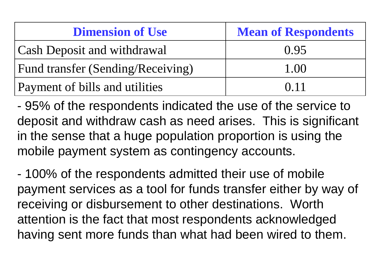| <b>Dimension of Use</b>            | <b>Mean of Respondents</b> |
|------------------------------------|----------------------------|
| <b>Cash Deposit and withdrawal</b> | 0.95                       |
| Fund transfer (Sending/Receiving)  | 1.00                       |
| Payment of bills and utilities     | 0.11                       |

 95% of the respondents indicated the use of the service to deposit and withdraw cash as need arises. This is significant in the sense that a huge population proportion is using the mobile payment system as contingency accounts.

 100% of the respondents admitted their use of mobile payment services as a tool for funds transfer either by way of receiving or disbursement to other destinations. Worth attention is the fact that most respondents acknowledged having sent more funds than what had been wired to them.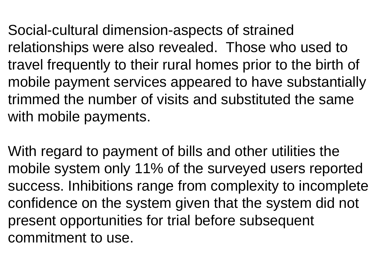Social-cultural dimension-aspects of strained relationships were also revealed. Those who used to travel frequently to their rural homes prior to the birth of mobile payment services appeared to have substantially trimmed the number of visits and substituted the same with mobile payments.ion-aspects<br>
ir rural home<br>
es appeared<br>
ir visits and s<br>
it of bills and<br>
% of the sur

With regard to payment of bills and other utilities the mobile system only 11% of the surveyed users reported success. Inhibitions range from complexity to incomplete confidence on the system given that the system did not present opportunities for trial before subsequent commitment to use.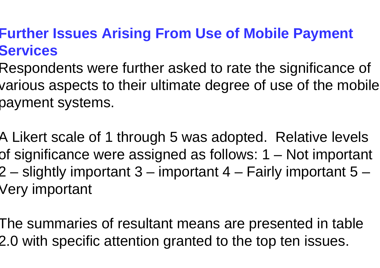## **Further Issues Arising From Use of Mobile Payment Services**

- Respondents were further asked to rate the significance of various aspects to their ultimate degree of use of the mobile payment systems.
- A Likert scale of 1 through 5 was adopted. Relative levels of significance were assigned as follows: 1 – Not important 2 – slightly important 3 – important 4 – Fairly important 5 –Very important
- The summaries of resultant means are presented in table 2.0 with specific attention granted to the top ten issues.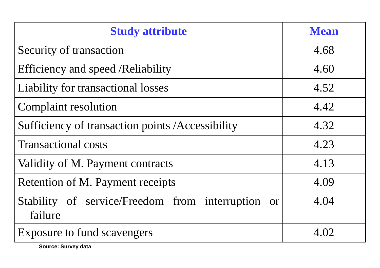| <b>Study attribute</b>                                       | <b>Mean</b> |
|--------------------------------------------------------------|-------------|
| Security of transaction                                      | 4.68        |
| Efficiency and speed /Reliability                            | 4.60        |
| Liability for transactional losses                           | 4.52        |
| <b>Complaint resolution</b>                                  | 4.42        |
| Sufficiency of transaction points /Accessibility             | 4.32        |
| <b>Transactional costs</b>                                   | 4.23        |
| Validity of M. Payment contracts                             | 4.13        |
| Retention of M. Payment receipts                             | 4.09        |
| Stability of service/Freedom from interruption or<br>failure | 4.04        |
| Exposure to fund scavengers                                  | 4.02        |

**Source: Survey data**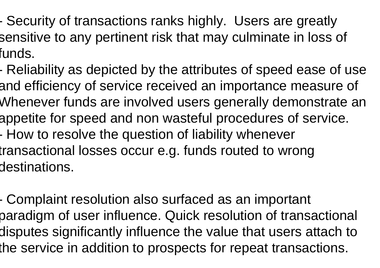- Security of transactions ranks highly. Users are greatly sensitive to any pertinent risk that may culminate in loss of funds.
- Reliability as depicted by the attributes of speed ease of use and efficiency of service received an importance measure of Whenever funds are involved users generally demonstrate an appetite for speed and non wasteful procedures of service.- How to resolve the question of liability whenever transactional losses occur e.g. funds routed to wrong destinations.
- Complaint resolution also surfaced as an important paradigm of user influence. Quick resolution of transactional disputes significantly influence the value that users attach to the service in addition to prospects for repeat transactions.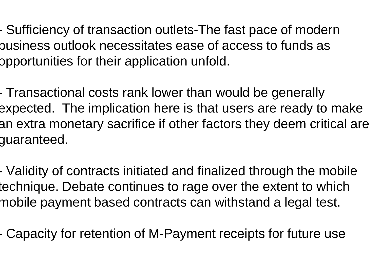-- Sufficiency of transaction outlets-The fast pace of modern business outlook necessitates ease of access to funds as opportunities for their application unfold. -

 Transactional costs rank lower than would be generally expected. The implication here is that users are ready to make an extra monetary sacrifice if other factors they deem critical are guaranteed.

 Validity of contracts initiated and finalized through the mobile technique. Debate continues to rage over the extent to which mobile payment based contracts can withstand a legal test.

- Capacity for retention of M-Payment receipts for future use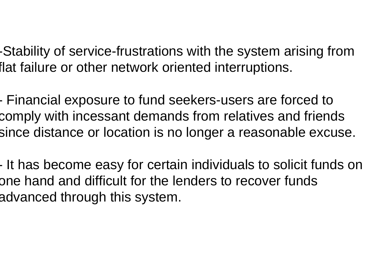-Stability of service-frustrations with the system arising from flat failure or other network oriented interruptions.

-- Financial exposure to fund seekers-users are forced to comply with incessant demands from relatives and friends since distance or location is no longer a reasonable excuse.

It has become easy for certain individuals to solicit funds on one hand and difficult for the lenders to recover funds advanced through this system.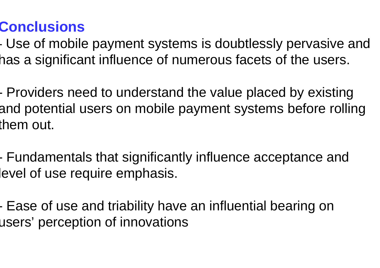## **Conclusions**

 Use of mobile payment systems is doubtlessly pervasive and has a significant influence of numerous facets of the users.

- Providers need to understand the value placed by existing and potential users on mobile payment systems before rolling them out.

- Fundamentals that significantly influence acceptance and level of use require emphasis.

- Ease of use and triability have an influential bearing on users' perception of innovations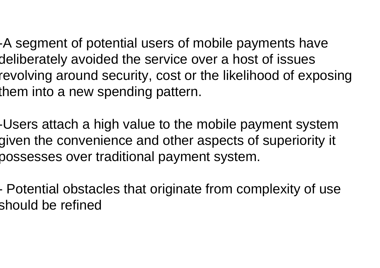-A segment of potential users of mobile payments have deliberately avoided the service over a host of issues revolving around security, cost or the likelihood of exposing them into a new spending pattern.

-Users attach a high value to the mobile payment system given the convenience and other aspects of superiority it possesses over traditional payment system.

 Potential obstacles that originate from complexity of use should be refined